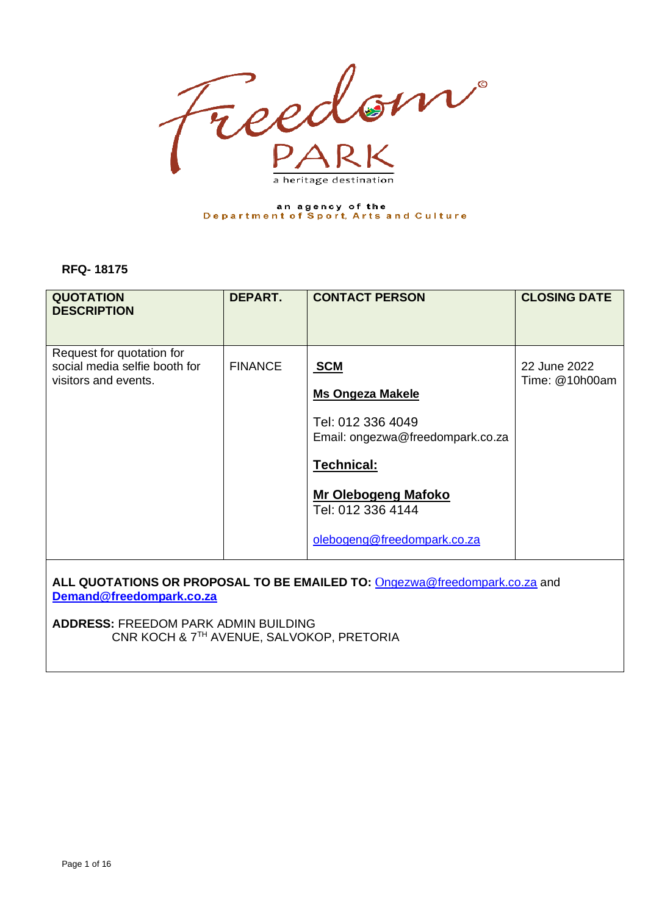

# an agency of the<br>Department of Sport, Arts and Culture

#### **RFQ- 18175**

| <b>QUOTATION</b><br><b>DESCRIPTION</b>                                             | DEPART.        | <b>CONTACT PERSON</b>                                                                                                                                                                          | <b>CLOSING DATE</b>            |
|------------------------------------------------------------------------------------|----------------|------------------------------------------------------------------------------------------------------------------------------------------------------------------------------------------------|--------------------------------|
| Request for quotation for<br>social media selfie booth for<br>visitors and events. | <b>FINANCE</b> | <b>SCM</b><br><b>Ms Ongeza Makele</b><br>Tel: 012 336 4049<br>Email: ongezwa@freedompark.co.za<br><b>Technical:</b><br>Mr Olebogeng Mafoko<br>Tel: 012 336 4144<br>olebogeng@freedompark.co.za | 22 June 2022<br>Time: @10h00am |
|                                                                                    |                |                                                                                                                                                                                                |                                |

**ALL QUOTATIONS OR PROPOSAL TO BE EMAILED TO:** O[ngezwa@freedompark.co.za](mailto:Ongezwa@freedompark.co.za) and **[Demand@freedompark.co.za](mailto:Demand@freedompark.co.za)**

**ADDRESS:** FREEDOM PARK ADMIN BUILDING CNR KOCH & 7TH AVENUE, SALVOKOP, PRETORIA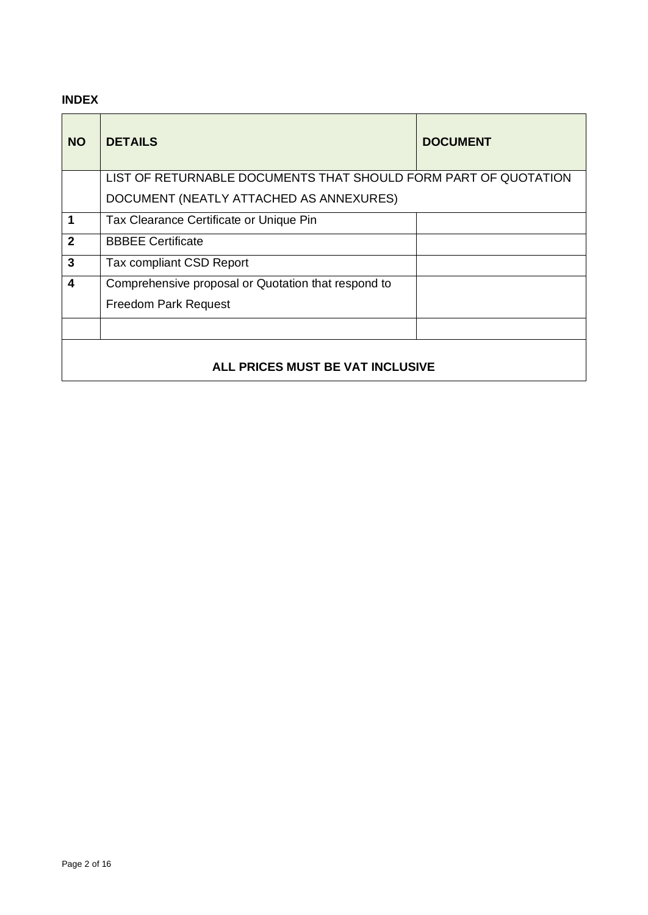## **INDEX**

| <b>NO</b>                        | <b>DETAILS</b>                                                  | <b>DOCUMENT</b> |
|----------------------------------|-----------------------------------------------------------------|-----------------|
|                                  | LIST OF RETURNABLE DOCUMENTS THAT SHOULD FORM PART OF QUOTATION |                 |
|                                  | DOCUMENT (NEATLY ATTACHED AS ANNEXURES)                         |                 |
| 1                                | Tax Clearance Certificate or Unique Pin                         |                 |
| $\mathbf{2}$                     | <b>BBBEE Certificate</b>                                        |                 |
| 3                                | Tax compliant CSD Report                                        |                 |
| 4                                | Comprehensive proposal or Quotation that respond to             |                 |
|                                  | <b>Freedom Park Request</b>                                     |                 |
|                                  |                                                                 |                 |
| ALL PRICES MUST BE VAT INCLUSIVE |                                                                 |                 |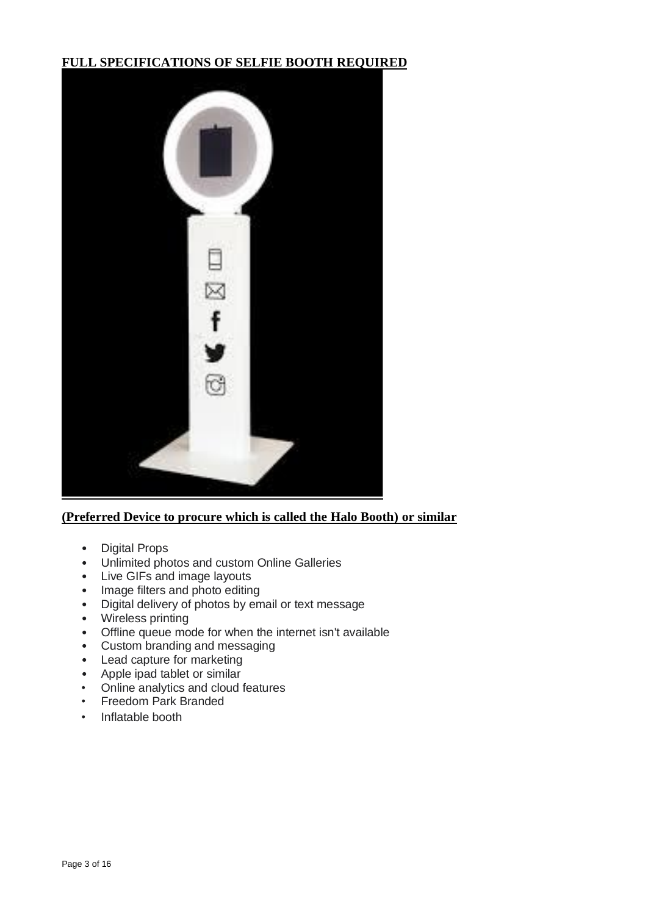## **FULL SPECIFICATIONS OF SELFIE BOOTH REQUIRED**



## **(Preferred Device to procure which is called the Halo Booth) or similar**

- Digital Props
- Unlimited photos and custom Online Galleries
- Live GIFs and image layouts
- Image filters and photo editing
- Digital delivery of photos by email or text message
- Wireless printing
- Offline queue mode for when the internet isn't available
- Custom branding and messaging
- Lead capture for marketing<br>• Apple ipad tablet or similar
- Apple ipad tablet or similar<br>• Online analytics and cloud
- Online analytics and cloud features
- Freedom Park Branded
- Inflatable booth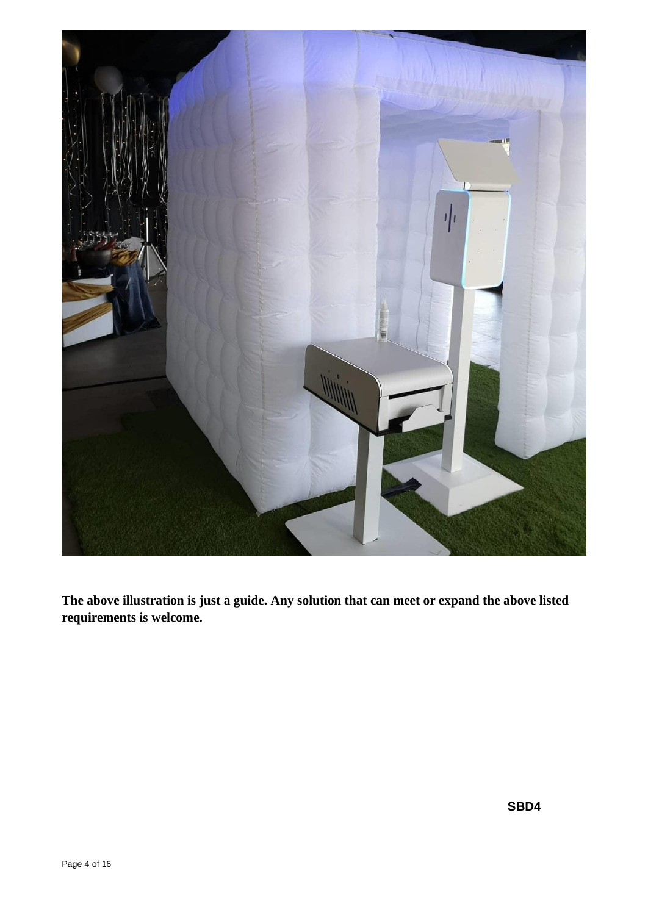

**The above illustration is just a guide. Any solution that can meet or expand the above listed requirements is welcome.**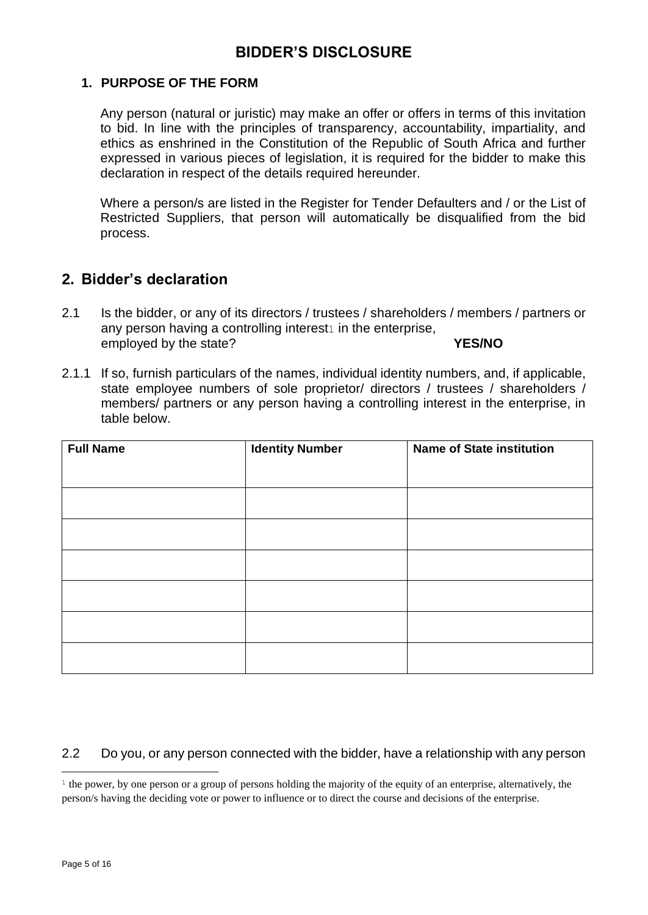## **1. PURPOSE OF THE FORM**

Any person (natural or juristic) may make an offer or offers in terms of this invitation to bid. In line with the principles of transparency, accountability, impartiality, and ethics as enshrined in the Constitution of the Republic of South Africa and further expressed in various pieces of legislation, it is required for the bidder to make this declaration in respect of the details required hereunder.

Where a person/s are listed in the Register for Tender Defaulters and / or the List of Restricted Suppliers, that person will automatically be disqualified from the bid process.

# **2. Bidder's declaration**

- 2.1 Is the bidder, or any of its directors / trustees / shareholders / members / partners or any person having a controlling interest $1$  in the enterprise, employed by the state? **YES/NO**
- 2.1.1 If so, furnish particulars of the names, individual identity numbers, and, if applicable, state employee numbers of sole proprietor/ directors / trustees / shareholders / members/ partners or any person having a controlling interest in the enterprise, in table below.

| <b>Full Name</b> | <b>Identity Number</b> | <b>Name of State institution</b> |
|------------------|------------------------|----------------------------------|
|                  |                        |                                  |
|                  |                        |                                  |
|                  |                        |                                  |
|                  |                        |                                  |
|                  |                        |                                  |
|                  |                        |                                  |
|                  |                        |                                  |

## 2.2 Do you, or any person connected with the bidder, have a relationship with any person

 $\frac{1}{1}$  the power, by one person or a group of persons holding the majority of the equity of an enterprise, alternatively, the person/s having the deciding vote or power to influence or to direct the course and decisions of the enterprise.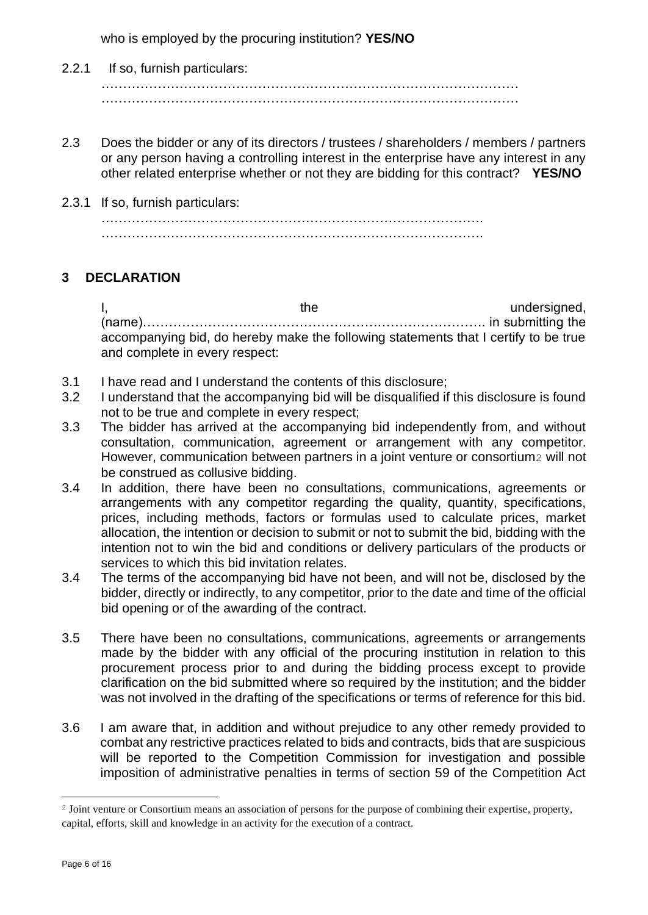who is employed by the procuring institution? **YES/NO**

- 2.2.1 If so, furnish particulars: …………………………………………………………………………………… ……………………………………………………………………………………
- 2.3 Does the bidder or any of its directors / trustees / shareholders / members / partners or any person having a controlling interest in the enterprise have any interest in any other related enterprise whether or not they are bidding for this contract? **YES/NO**
- 2.3.1 If so, furnish particulars: ……………………………………………………………………………. …………………………………………………………………………….

## **3 DECLARATION**

I, the undersigned, the undersigned, (name)……………………………………………………………………. in submitting the accompanying bid, do hereby make the following statements that I certify to be true and complete in every respect:

- 3.1 I have read and I understand the contents of this disclosure;
- 3.2 I understand that the accompanying bid will be disqualified if this disclosure is found not to be true and complete in every respect;
- 3.3 The bidder has arrived at the accompanying bid independently from, and without consultation, communication, agreement or arrangement with any competitor. However, communication between partners in a joint venture or consortium<sub>2</sub> will not be construed as collusive bidding.
- 3.4 In addition, there have been no consultations, communications, agreements or arrangements with any competitor regarding the quality, quantity, specifications, prices, including methods, factors or formulas used to calculate prices, market allocation, the intention or decision to submit or not to submit the bid, bidding with the intention not to win the bid and conditions or delivery particulars of the products or services to which this bid invitation relates.
- 3.4 The terms of the accompanying bid have not been, and will not be, disclosed by the bidder, directly or indirectly, to any competitor, prior to the date and time of the official bid opening or of the awarding of the contract.
- 3.5 There have been no consultations, communications, agreements or arrangements made by the bidder with any official of the procuring institution in relation to this procurement process prior to and during the bidding process except to provide clarification on the bid submitted where so required by the institution; and the bidder was not involved in the drafting of the specifications or terms of reference for this bid.
- 3.6 I am aware that, in addition and without prejudice to any other remedy provided to combat any restrictive practices related to bids and contracts, bids that are suspicious will be reported to the Competition Commission for investigation and possible imposition of administrative penalties in terms of section 59 of the Competition Act

<sup>2</sup> Joint venture or Consortium means an association of persons for the purpose of combining their expertise, property, capital, efforts, skill and knowledge in an activity for the execution of a contract.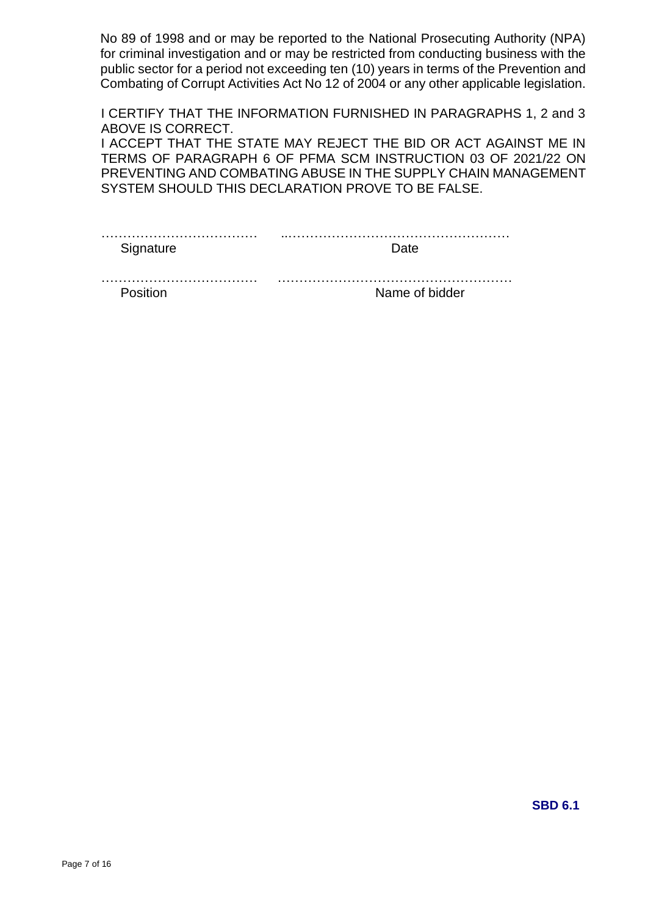No 89 of 1998 and or may be reported to the National Prosecuting Authority (NPA) for criminal investigation and or may be restricted from conducting business with the public sector for a period not exceeding ten (10) years in terms of the Prevention and Combating of Corrupt Activities Act No 12 of 2004 or any other applicable legislation.

I CERTIFY THAT THE INFORMATION FURNISHED IN PARAGRAPHS 1, 2 and 3 ABOVE IS CORRECT.

I ACCEPT THAT THE STATE MAY REJECT THE BID OR ACT AGAINST ME IN TERMS OF PARAGRAPH 6 OF PFMA SCM INSTRUCTION 03 OF 2021/22 ON PREVENTING AND COMBATING ABUSE IN THE SUPPLY CHAIN MANAGEMENT SYSTEM SHOULD THIS DECLARATION PROVE TO BE FALSE.

Signature Date

Position **Name of bidder**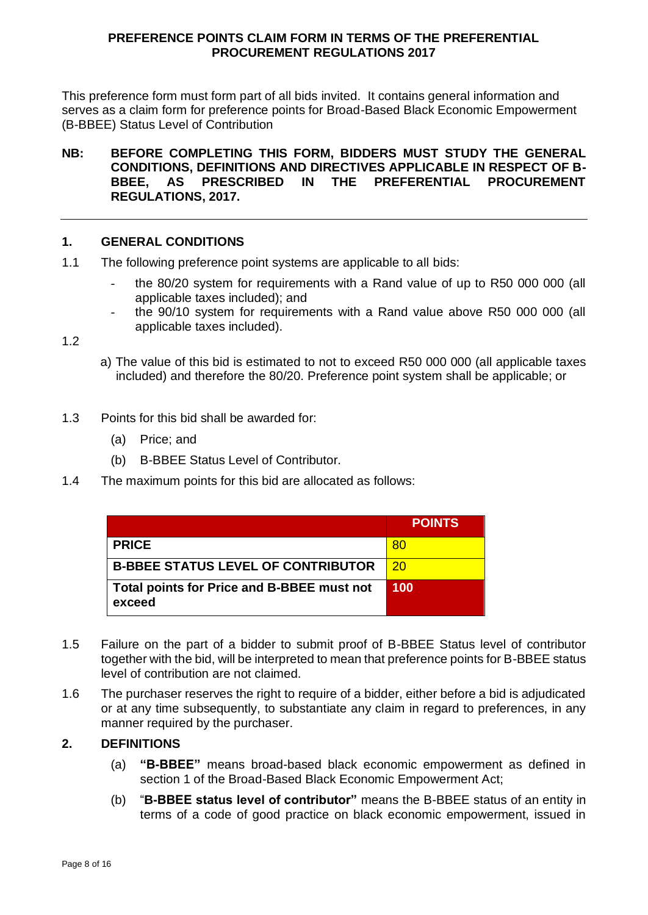#### **PREFERENCE POINTS CLAIM FORM IN TERMS OF THE PREFERENTIAL PROCUREMENT REGULATIONS 2017**

This preference form must form part of all bids invited. It contains general information and serves as a claim form for preference points for Broad-Based Black Economic Empowerment (B-BBEE) Status Level of Contribution

#### **NB: BEFORE COMPLETING THIS FORM, BIDDERS MUST STUDY THE GENERAL CONDITIONS, DEFINITIONS AND DIRECTIVES APPLICABLE IN RESPECT OF B-BBEE, AS PRESCRIBED IN THE PREFERENTIAL PROCUREMENT REGULATIONS, 2017.**

## **1. GENERAL CONDITIONS**

- 1.1 The following preference point systems are applicable to all bids:
	- the 80/20 system for requirements with a Rand value of up to R50 000 000 (all applicable taxes included); and
	- the 90/10 system for requirements with a Rand value above R50 000 000 (all applicable taxes included).

1.2

- a) The value of this bid is estimated to not to exceed R50 000 000 (all applicable taxes included) and therefore the 80/20. Preference point system shall be applicable; or
- 1.3 Points for this bid shall be awarded for:
	- (a) Price; and
	- (b) B-BBEE Status Level of Contributor.
- 1.4 The maximum points for this bid are allocated as follows:

|                                                      | <b>POINTS</b> |
|------------------------------------------------------|---------------|
| <b>PRICE</b>                                         | -80           |
| <b>B-BBEE STATUS LEVEL OF CONTRIBUTOR</b>            | <b>20</b>     |
| Total points for Price and B-BBEE must not<br>exceed | 100           |

- 1.5 Failure on the part of a bidder to submit proof of B-BBEE Status level of contributor together with the bid, will be interpreted to mean that preference points for B-BBEE status level of contribution are not claimed.
- 1.6 The purchaser reserves the right to require of a bidder, either before a bid is adjudicated or at any time subsequently, to substantiate any claim in regard to preferences, in any manner required by the purchaser.

#### **2. DEFINITIONS**

- (a) **"B-BBEE"** means broad-based black economic empowerment as defined in section 1 of the Broad-Based Black Economic Empowerment Act;
- (b) "**B-BBEE status level of contributor"** means the B-BBEE status of an entity in terms of a code of good practice on black economic empowerment, issued in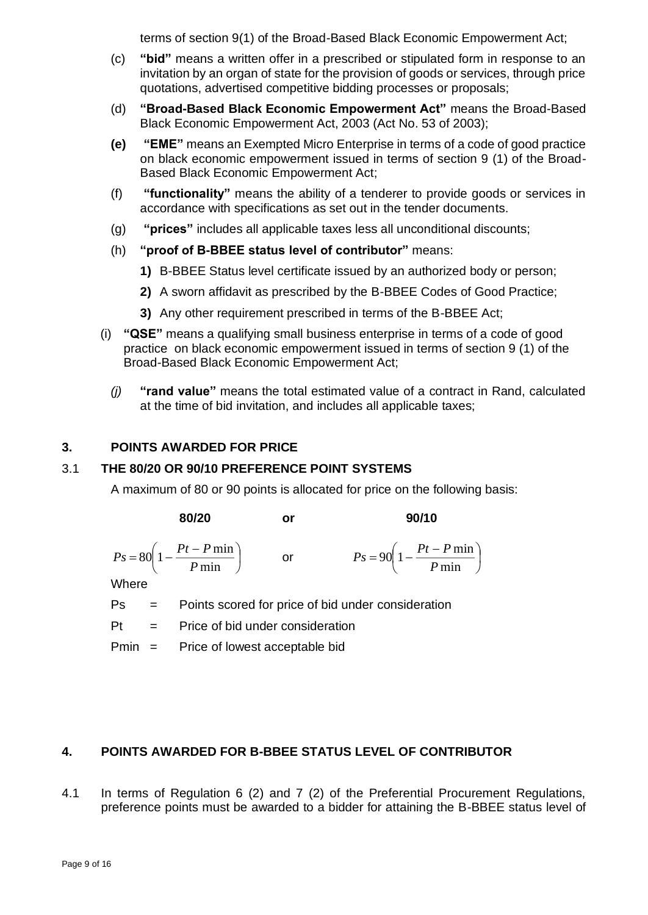terms of section 9(1) of the Broad-Based Black Economic Empowerment Act;

- (c) **"bid"** means a written offer in a prescribed or stipulated form in response to an invitation by an organ of state for the provision of goods or services, through price quotations, advertised competitive bidding processes or proposals;
- (d) **"Broad-Based Black Economic Empowerment Act"** means the Broad-Based Black Economic Empowerment Act, 2003 (Act No. 53 of 2003);
- **(e) "EME"** means an Exempted Micro Enterprise in terms of a code of good practice on black economic empowerment issued in terms of section 9 (1) of the Broad-Based Black Economic Empowerment Act;
- (f) **"functionality"** means the ability of a tenderer to provide goods or services in accordance with specifications as set out in the tender documents.
- (g) **"prices"** includes all applicable taxes less all unconditional discounts;
- (h) **"proof of B-BBEE status level of contributor"** means:
	- **1)** B-BBEE Status level certificate issued by an authorized body or person;
	- **2)** A sworn affidavit as prescribed by the B-BBEE Codes of Good Practice;
	- **3)** Any other requirement prescribed in terms of the B-BBEE Act;
- (i) **"QSE"** means a qualifying small business enterprise in terms of a code of good practice on black economic empowerment issued in terms of section 9 (1) of the Broad-Based Black Economic Empowerment Act;
	- *(j)* **"rand value"** means the total estimated value of a contract in Rand, calculated at the time of bid invitation, and includes all applicable taxes;

## **3. POINTS AWARDED FOR PRICE**

#### 3.1 **THE 80/20 OR 90/10 PREFERENCE POINT SYSTEMS**

A maximum of 80 or 90 points is allocated for price on the following basis:

**80/20 or 90/10**

$$
Ps = 80\left(1 - \frac{Pt - P\min P}{\min}\right) \qquad \text{or} \qquad \qquad Ps = 90\left(\frac{Pt - P\min P}{\max P}\right)
$$

$$
Ps = 90 \left( 1 - \frac{Pt - P \min}{P \min} \right)
$$

Where

Ps = Points scored for price of bid under consideration

Pt = Price of bid under consideration

Pmin = Price of lowest acceptable bid

## **4. POINTS AWARDED FOR B-BBEE STATUS LEVEL OF CONTRIBUTOR**

4.1 In terms of Regulation 6 (2) and 7 (2) of the Preferential Procurement Regulations, preference points must be awarded to a bidder for attaining the B-BBEE status level of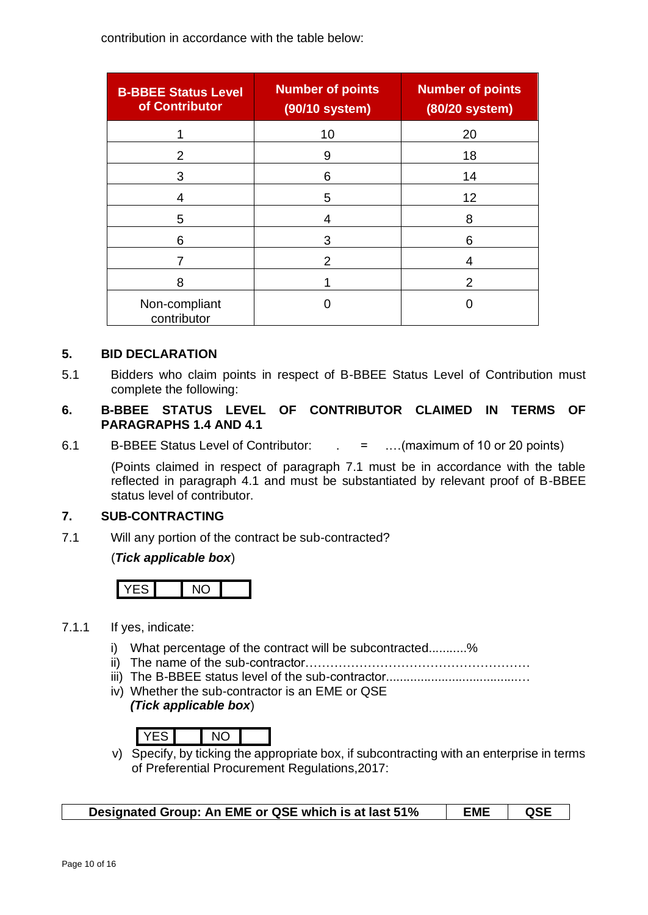contribution in accordance with the table below:

| <b>B-BBEE Status Level</b><br>of Contributor | <b>Number of points</b><br>(90/10 system) | <b>Number of points</b><br>(80/20 system) |
|----------------------------------------------|-------------------------------------------|-------------------------------------------|
|                                              | 10                                        | 20                                        |
| 2                                            | 9                                         | 18                                        |
| 3                                            | 6                                         | 14                                        |
| 4                                            | 5                                         | 12                                        |
| 5                                            | 4                                         | 8                                         |
| 6                                            | 3                                         | 6                                         |
|                                              | 2                                         | 4                                         |
| 8                                            |                                           | $\mathcal{P}$                             |
| Non-compliant<br>contributor                 |                                           |                                           |

#### **5. BID DECLARATION**

5.1 Bidders who claim points in respect of B-BBEE Status Level of Contribution must complete the following:

## **6. B-BBEE STATUS LEVEL OF CONTRIBUTOR CLAIMED IN TERMS OF PARAGRAPHS 1.4 AND 4.1**

6.1 B-BBEE Status Level of Contributor: . = .…(maximum of 10 or 20 points)

(Points claimed in respect of paragraph 7.1 must be in accordance with the table reflected in paragraph 4.1 and must be substantiated by relevant proof of B-BBEE status level of contributor.

## **7. SUB-CONTRACTING**

7.1 Will any portion of the contract be sub-contracted?

(*Tick applicable box*)



- 7.1.1 If yes, indicate:
	- i) What percentage of the contract will be subcontracted...........%
	- ii) The name of the sub-contractor………………………………………………
	- iii) The B-BBEE status level of the sub-contractor......................................…
	- iv) Whether the sub-contractor is an EME or QSE *(Tick applicable box*)

v) Specify, by ticking the appropriate box, if subcontracting with an enterprise in terms of Preferential Procurement Regulations,2017:

**Designated Group: An EME or QSE which is at last 51% EME QSE**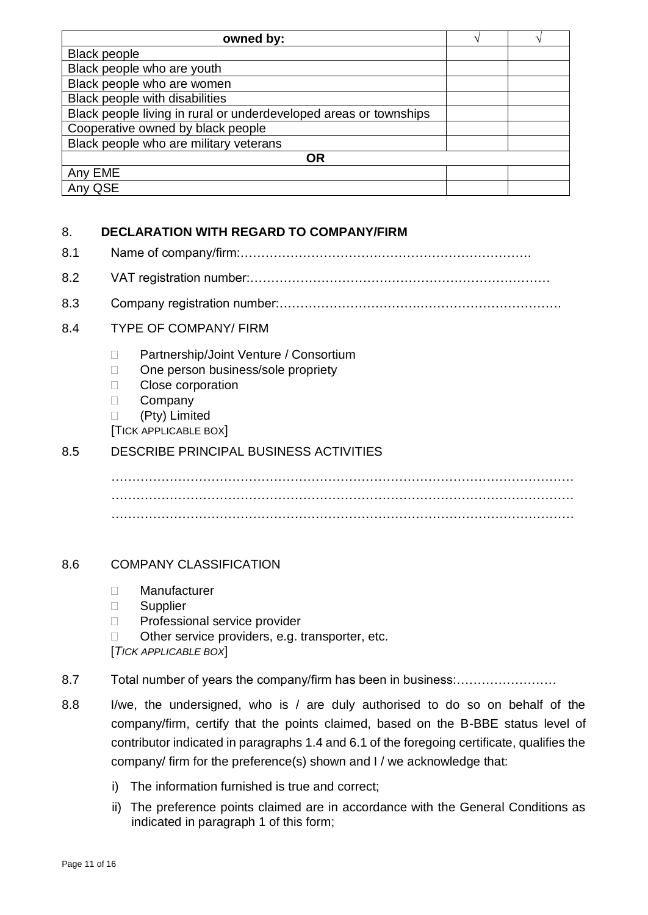| owned by:                                                         | $\mathcal{L}_{\mathcal{L}}$ |
|-------------------------------------------------------------------|-----------------------------|
| <b>Black people</b>                                               |                             |
| Black people who are youth                                        |                             |
| Black people who are women                                        |                             |
| <b>Black people with disabilities</b>                             |                             |
| Black people living in rural or underdeveloped areas or townships |                             |
| Cooperative owned by black people                                 |                             |
| Black people who are military veterans                            |                             |
| ΟR                                                                |                             |
| Any EME                                                           |                             |
| Any QSE                                                           |                             |

## 8. **DECLARATION WITH REGARD TO COMPANY/FIRM**

- 8.1 Name of company/firm:…………………………………………………………….
- 8.2 VAT registration number:………………………………………………………………
- 8.3 Company registration number:…………………………….…………………………….

## 8.4 TYPE OF COMPANY/ FIRM

- □ Partnership/Joint Venture / Consortium
- □ One person business/sole propriety
- **Close corporation**
- D Company

(Pty) Limited

[TICK APPLICABLE BOX]

## 8.5 DESCRIBE PRINCIPAL BUSINESS ACTIVITIES

………………………………………………………………………………………………… ………………………………………………………………………………………………… …………………………………………………………………………………………………

## 8.6 COMPANY CLASSIFICATION

- Manufacturer
- □ Supplier
- □ Professional service provider
- $\Box$  Other service providers, e.g. transporter, etc.

[*TICK APPLICABLE BOX*]

## 8.7 Total number of years the company/firm has been in business:……………………

- 8.8 I/we, the undersigned, who is / are duly authorised to do so on behalf of the company/firm, certify that the points claimed, based on the B-BBE status level of contributor indicated in paragraphs 1.4 and 6.1 of the foregoing certificate, qualifies the company/ firm for the preference(s) shown and I / we acknowledge that:
	- i) The information furnished is true and correct;
	- ii) The preference points claimed are in accordance with the General Conditions as indicated in paragraph 1 of this form;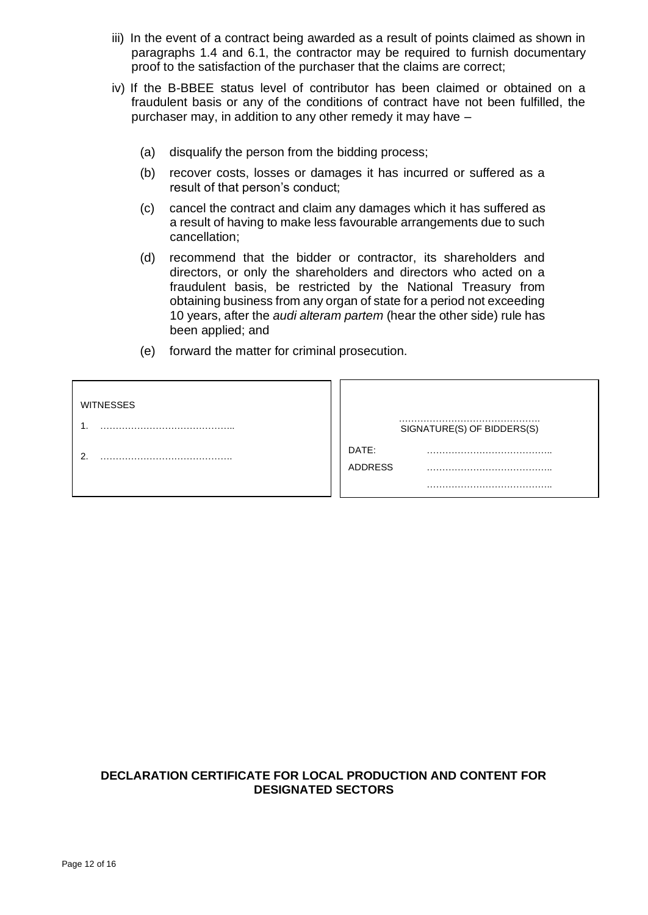- iii) In the event of a contract being awarded as a result of points claimed as shown in paragraphs 1.4 and 6.1, the contractor may be required to furnish documentary proof to the satisfaction of the purchaser that the claims are correct;
- iv) If the B-BBEE status level of contributor has been claimed or obtained on a fraudulent basis or any of the conditions of contract have not been fulfilled, the purchaser may, in addition to any other remedy it may have –
	- (a) disqualify the person from the bidding process;
	- (b) recover costs, losses or damages it has incurred or suffered as a result of that person's conduct;
	- (c) cancel the contract and claim any damages which it has suffered as a result of having to make less favourable arrangements due to such cancellation;
	- (d) recommend that the bidder or contractor, its shareholders and directors, or only the shareholders and directors who acted on a fraudulent basis, be restricted by the National Treasury from obtaining business from any organ of state for a period not exceeding 10 years, after the *audi alteram partem* (hear the other side) rule has been applied; and
	- (e) forward the matter for criminal prosecution.

| <b>WITNESSES</b> |                            |
|------------------|----------------------------|
|                  | SIGNATURE(S) OF BIDDERS(S) |
|                  | DATE:                      |
|                  | <b>ADDRESS</b>             |
|                  |                            |

#### **DECLARATION CERTIFICATE FOR LOCAL PRODUCTION AND CONTENT FOR DESIGNATED SECTORS**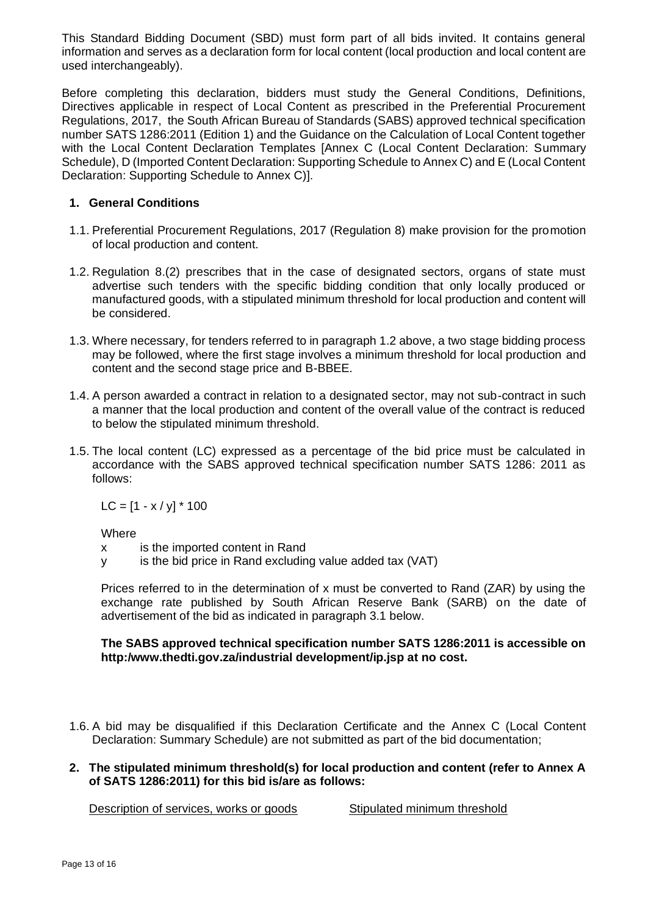This Standard Bidding Document (SBD) must form part of all bids invited. It contains general information and serves as a declaration form for local content (local production and local content are used interchangeably).

Before completing this declaration, bidders must study the General Conditions, Definitions, Directives applicable in respect of Local Content as prescribed in the Preferential Procurement Regulations, 2017, the South African Bureau of Standards (SABS) approved technical specification number SATS 1286:2011 (Edition 1) and the Guidance on the Calculation of Local Content together with the Local Content Declaration Templates [Annex C (Local Content Declaration: Summary Schedule), D (Imported Content Declaration: Supporting Schedule to Annex C) and E (Local Content Declaration: Supporting Schedule to Annex C)].

### **1. General Conditions**

- 1.1. Preferential Procurement Regulations, 2017 (Regulation 8) make provision for the promotion of local production and content.
- 1.2. Regulation 8.(2) prescribes that in the case of designated sectors, organs of state must advertise such tenders with the specific bidding condition that only locally produced or manufactured goods, with a stipulated minimum threshold for local production and content will be considered.
- 1.3. Where necessary, for tenders referred to in paragraph 1.2 above, a two stage bidding process may be followed, where the first stage involves a minimum threshold for local production and content and the second stage price and B-BBEE.
- 1.4. A person awarded a contract in relation to a designated sector, may not sub-contract in such a manner that the local production and content of the overall value of the contract is reduced to below the stipulated minimum threshold.
- 1.5. The local content (LC) expressed as a percentage of the bid price must be calculated in accordance with the SABS approved technical specification number SATS 1286: 2011 as follows:

 $LC = [1 - x / y] * 100$ 

Where

x is the imported content in Rand

y is the bid price in Rand excluding value added tax (VAT)

Prices referred to in the determination of x must be converted to Rand (ZAR) by using the exchange rate published by South African Reserve Bank (SARB) on the date of advertisement of the bid as indicated in paragraph 3.1 below.

#### **The SABS approved technical specification number SATS 1286:2011 is accessible on http:/www.thedti.gov.za/industrial development/ip.jsp at no cost.**

1.6. A bid may be disqualified if this Declaration Certificate and the Annex C (Local Content Declaration: Summary Schedule) are not submitted as part of the bid documentation;

#### **2. The stipulated minimum threshold(s) for local production and content (refer to Annex A of SATS 1286:2011) for this bid is/are as follows:**

Description of services, works or goods Stipulated minimum threshold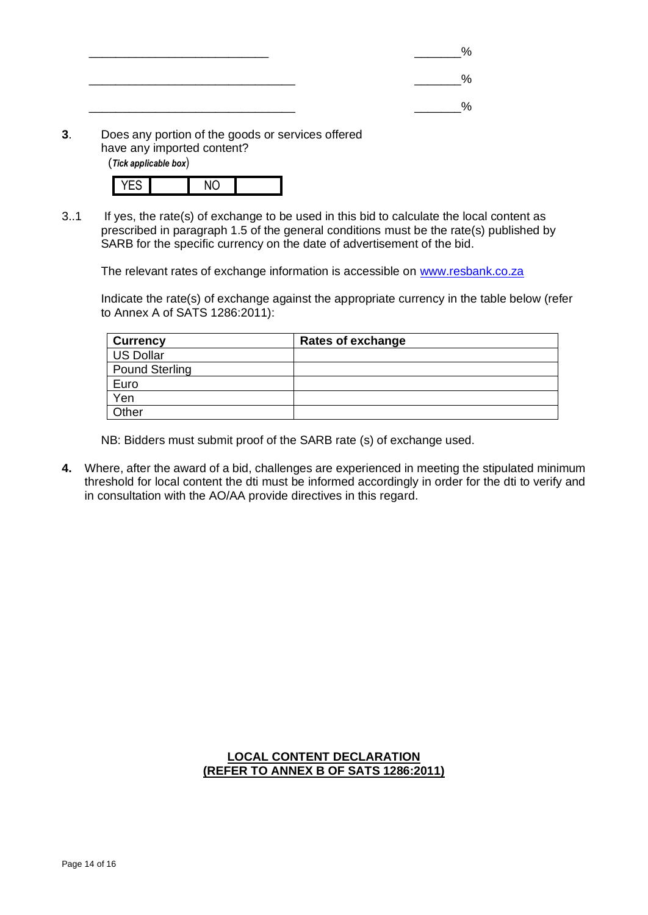| ___ |  |
|-----|--|
|     |  |
|     |  |

**3**. Does any portion of the goods or services offered have any imported content?

(*Tick applicable box*)

3..1 If yes, the rate(s) of exchange to be used in this bid to calculate the local content as prescribed in paragraph 1.5 of the general conditions must be the rate(s) published by SARB for the specific currency on the date of advertisement of the bid.

The relevant rates of exchange information is accessible on [www.resbank.co.za](http://www.resbank.co.za/)

Indicate the rate(s) of exchange against the appropriate currency in the table below (refer to Annex A of SATS 1286:2011):

| <b>Currency</b> | Rates of exchange |
|-----------------|-------------------|
| US Dollar       |                   |
| Pound Sterling  |                   |
| Euro            |                   |
| Yen             |                   |
| Other           |                   |

NB: Bidders must submit proof of the SARB rate (s) of exchange used.

**4.** Where, after the award of a bid, challenges are experienced in meeting the stipulated minimum threshold for local content the dti must be informed accordingly in order for the dti to verify and in consultation with the AO/AA provide directives in this regard.

## **LOCAL CONTENT DECLARATION (REFER TO ANNEX B OF SATS 1286:2011)**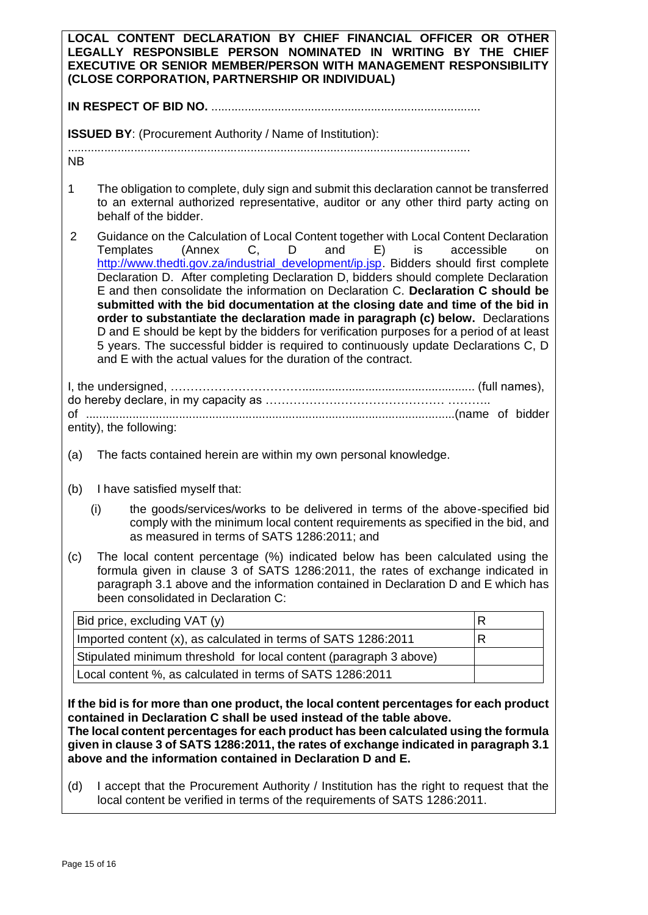| LOCAL CONTENT DECLARATION BY CHIEF FINANCIAL OFFICER OR OTHER<br>LEGALLY RESPONSIBLE PERSON NOMINATED IN WRITING BY THE CHIEF<br>EXECUTIVE OR SENIOR MEMBER/PERSON WITH MANAGEMENT RESPONSIBILITY<br>(CLOSE CORPORATION, PARTNERSHIP OR INDIVIDUAL)                                                   |                                                                                                                                                                                                                                                                                                                                                                                                                                                                                                                                                                                                                                                                                                                                                                                                                                                     |              |  |  |
|-------------------------------------------------------------------------------------------------------------------------------------------------------------------------------------------------------------------------------------------------------------------------------------------------------|-----------------------------------------------------------------------------------------------------------------------------------------------------------------------------------------------------------------------------------------------------------------------------------------------------------------------------------------------------------------------------------------------------------------------------------------------------------------------------------------------------------------------------------------------------------------------------------------------------------------------------------------------------------------------------------------------------------------------------------------------------------------------------------------------------------------------------------------------------|--------------|--|--|
|                                                                                                                                                                                                                                                                                                       |                                                                                                                                                                                                                                                                                                                                                                                                                                                                                                                                                                                                                                                                                                                                                                                                                                                     |              |  |  |
| <b>ISSUED BY:</b> (Procurement Authority / Name of Institution):                                                                                                                                                                                                                                      |                                                                                                                                                                                                                                                                                                                                                                                                                                                                                                                                                                                                                                                                                                                                                                                                                                                     |              |  |  |
| <b>NB</b>                                                                                                                                                                                                                                                                                             |                                                                                                                                                                                                                                                                                                                                                                                                                                                                                                                                                                                                                                                                                                                                                                                                                                                     |              |  |  |
| 1                                                                                                                                                                                                                                                                                                     | The obligation to complete, duly sign and submit this declaration cannot be transferred<br>to an external authorized representative, auditor or any other third party acting on<br>behalf of the bidder.                                                                                                                                                                                                                                                                                                                                                                                                                                                                                                                                                                                                                                            |              |  |  |
| $\overline{2}$                                                                                                                                                                                                                                                                                        | Guidance on the Calculation of Local Content together with Local Content Declaration<br>(Annex C, D and E) is<br>accessible<br>Templates<br><b>on</b><br>http://www.thedti.gov.za/industrial_development/ip.jsp. Bidders should first complete<br>Declaration D. After completing Declaration D, bidders should complete Declaration<br>E and then consolidate the information on Declaration C. Declaration C should be<br>submitted with the bid documentation at the closing date and time of the bid in<br>order to substantiate the declaration made in paragraph (c) below. Declarations<br>D and E should be kept by the bidders for verification purposes for a period of at least<br>5 years. The successful bidder is required to continuously update Declarations C, D<br>and E with the actual values for the duration of the contract. |              |  |  |
| entity), the following:                                                                                                                                                                                                                                                                               |                                                                                                                                                                                                                                                                                                                                                                                                                                                                                                                                                                                                                                                                                                                                                                                                                                                     |              |  |  |
| The facts contained herein are within my own personal knowledge.<br>(a)                                                                                                                                                                                                                               |                                                                                                                                                                                                                                                                                                                                                                                                                                                                                                                                                                                                                                                                                                                                                                                                                                                     |              |  |  |
| (b)                                                                                                                                                                                                                                                                                                   | I have satisfied myself that:                                                                                                                                                                                                                                                                                                                                                                                                                                                                                                                                                                                                                                                                                                                                                                                                                       |              |  |  |
| the goods/services/works to be delivered in terms of the above-specified bid<br>(i)<br>comply with the minimum local content requirements as specified in the bid, and<br>as measured in terms of SATS 1286:2011; and                                                                                 |                                                                                                                                                                                                                                                                                                                                                                                                                                                                                                                                                                                                                                                                                                                                                                                                                                                     |              |  |  |
| The local content percentage (%) indicated below has been calculated using the<br>(c)<br>formula given in clause 3 of SATS 1286:2011, the rates of exchange indicated in<br>paragraph 3.1 above and the information contained in Declaration D and E which has<br>been consolidated in Declaration C: |                                                                                                                                                                                                                                                                                                                                                                                                                                                                                                                                                                                                                                                                                                                                                                                                                                                     |              |  |  |
|                                                                                                                                                                                                                                                                                                       | Bid price, excluding VAT (y)                                                                                                                                                                                                                                                                                                                                                                                                                                                                                                                                                                                                                                                                                                                                                                                                                        | $\mathsf{R}$ |  |  |
|                                                                                                                                                                                                                                                                                                       | Imported content (x), as calculated in terms of SATS 1286:2011                                                                                                                                                                                                                                                                                                                                                                                                                                                                                                                                                                                                                                                                                                                                                                                      | R            |  |  |
|                                                                                                                                                                                                                                                                                                       | Stipulated minimum threshold for local content (paragraph 3 above)                                                                                                                                                                                                                                                                                                                                                                                                                                                                                                                                                                                                                                                                                                                                                                                  |              |  |  |
| Local content %, as calculated in terms of SATS 1286:2011                                                                                                                                                                                                                                             |                                                                                                                                                                                                                                                                                                                                                                                                                                                                                                                                                                                                                                                                                                                                                                                                                                                     |              |  |  |
|                                                                                                                                                                                                                                                                                                       | If the bid is for more than one product, the local content percentages for each product<br>contained in Declaration C shall be used instead of the table above.<br>The local content percentages for each product has been calculated using the formula<br>given in clause 3 of SATS 1286:2011, the rates of exchange indicated in paragraph 3.1<br>above and the information contained in Declaration D and E.                                                                                                                                                                                                                                                                                                                                                                                                                                     |              |  |  |
| (d)                                                                                                                                                                                                                                                                                                   | I accept that the Procurement Authority / Institution has the right to request that the<br>local content be verified in terms of the requirements of SATS 1286:2011.                                                                                                                                                                                                                                                                                                                                                                                                                                                                                                                                                                                                                                                                                |              |  |  |